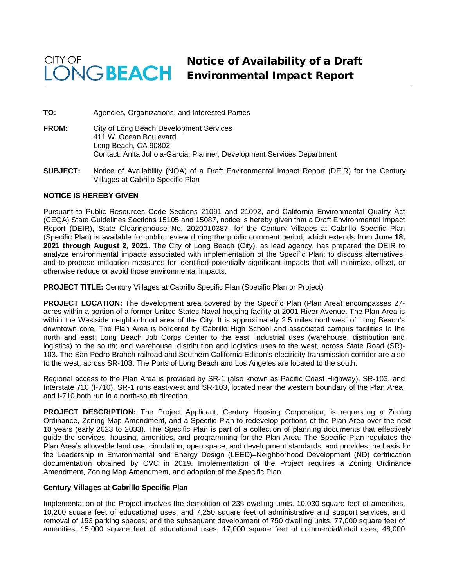## CITY OF Notice of Availability of a Draft **NGBEACH** Environmental Impact Report

**TO:** Agencies, Organizations, and Interested Parties

- **FROM:** City of Long Beach Development Services 411 W. Ocean Boulevard Long Beach, CA 90802 Contact: Anita Juhola-Garcia, Planner, Development Services Department
- **SUBJECT:** Notice of Availability (NOA) of a Draft Environmental Impact Report (DEIR) for the Century Villages at Cabrillo Specific Plan

## **NOTICE IS HEREBY GIVEN**

Pursuant to Public Resources Code Sections 21091 and 21092, and California Environmental Quality Act (CEQA) State Guidelines Sections 15105 and 15087, notice is hereby given that a Draft Environmental Impact Report (DEIR), State Clearinghouse No. 2020010387, for the Century Villages at Cabrillo Specific Plan (Specific Plan) is available for public review during the public comment period, which extends from **June 18, 2021 through August 2, 2021**. The City of Long Beach (City), as lead agency, has prepared the DEIR to analyze environmental impacts associated with implementation of the Specific Plan; to discuss alternatives; and to propose mitigation measures for identified potentially significant impacts that will minimize, offset, or otherwise reduce or avoid those environmental impacts.

**PROJECT TITLE:** Century Villages at Cabrillo Specific Plan (Specific Plan or Project)

**PROJECT LOCATION:** The development area covered by the Specific Plan (Plan Area) encompasses 27 acres within a portion of a former United States Naval housing facility at 2001 River Avenue. The Plan Area is within the Westside neighborhood area of the City. It is approximately 2.5 miles northwest of Long Beach's downtown core. The Plan Area is bordered by Cabrillo High School and associated campus facilities to the north and east; Long Beach Job Corps Center to the east; industrial uses (warehouse, distribution and logistics) to the south; and warehouse, distribution and logistics uses to the west, across State Road (SR)-103. The San Pedro Branch railroad and Southern California Edison's electricity transmission corridor are also to the west, across SR-103. The Ports of Long Beach and Los Angeles are located to the south.

Regional access to the Plan Area is provided by SR-1 (also known as Pacific Coast Highway), SR-103, and Interstate 710 (I-710). SR-1 runs east-west and SR-103, located near the western boundary of the Plan Area, and I-710 both run in a north-south direction.

**PROJECT DESCRIPTION:** The Project Applicant, Century Housing Corporation, is requesting a Zoning Ordinance, Zoning Map Amendment, and a Specific Plan to redevelop portions of the Plan Area over the next 10 years (early 2023 to 2033). The Specific Plan is part of a collection of planning documents that effectively guide the services, housing, amenities, and programming for the Plan Area. The Specific Plan regulates the Plan Area's allowable land use, circulation, open space, and development standards, and provides the basis for the Leadership in Environmental and Energy Design (LEED)–Neighborhood Development (ND) certification documentation obtained by CVC in 2019. Implementation of the Project requires a Zoning Ordinance Amendment, Zoning Map Amendment, and adoption of the Specific Plan.

## **Century Villages at Cabrillo Specific Plan**

Implementation of the Project involves the demolition of 235 dwelling units, 10,030 square feet of amenities, 10,200 square feet of educational uses, and 7,250 square feet of administrative and support services, and removal of 153 parking spaces; and the subsequent development of 750 dwelling units, 77,000 square feet of amenities, 15,000 square feet of educational uses, 17,000 square feet of commercial/retail uses, 48,000